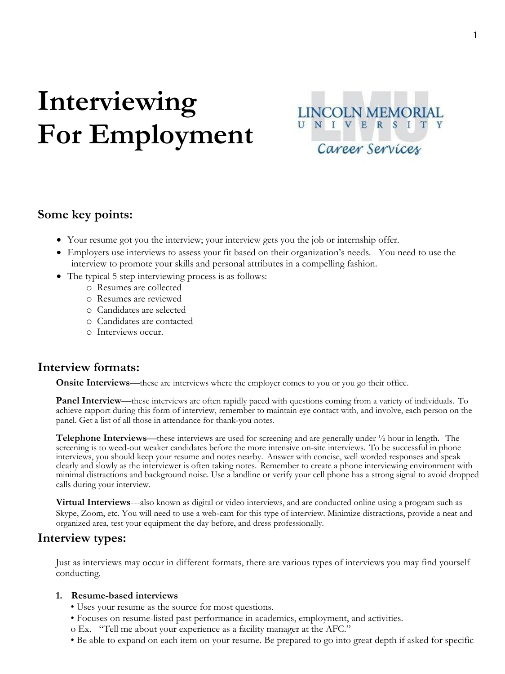# **Interviewing For Employment**



# **Some key points:**

- Your resume got you the interview; your interview gets you the job or internship offer.
- Employers use interviews to assess your fit based on their organization's needs. You need to use the interview to promote your skills and personal attributes in a compelling fashion.
- The typical 5 step interviewing process is as follows:
	- o Resumes are collected
	- o Resumes are reviewed
	- o Candidates are selected
	- o Candidates are contacted
	- o Interviews occur.

# **Interview formats:**

**Onsite Interviews**—these are interviews where the employer comes to you or you go their office.

**Panel Interview—**these interviews are often rapidly paced with questions coming from a variety of individuals. To achieve rapport during this form of interview, remember to maintain eye contact with, and involve, each person on the panel. Get a list of all those in attendance for thank-you notes.

**Telephone Interviews**—these interviews are used for screening and are generally under  $\frac{1}{2}$  hour in length. The screening is to weed-out weaker candidates before the more intensive on-site interviews. To be successful in phone interviews, you should keep your resume and notes nearby. Answer with concise, well worded responses and speak clearly and slowly as the interviewer is often taking notes. Remember to create a phone interviewing environment with minimal distractions and background noise. Use a landline or verify your cell phone has a strong signal to avoid dropped calls during your interview.

**Virtual Interviews**---also known as digital or video interviews, and are conducted online using a program such as Skype, Zoom, etc. You will need to use a web-cam for this type of interview. Minimize distractions, provide a neat and organized area, test your equipment the day before, and dress professionally.

# **Interview types:**

Just as interviews may occur in different formats, there are various types of interviews you may find yourself conducting.

### **1. Resume-based interviews**

- Uses your resume as the source for most questions.
- Focuses on resume-listed past performance in academics, employment, and activities.
- o Ex. "Tell me about your experience as a facility manager at the AFC."
- Be able to expand on each item on your resume. Be prepared to go into great depth if asked for specific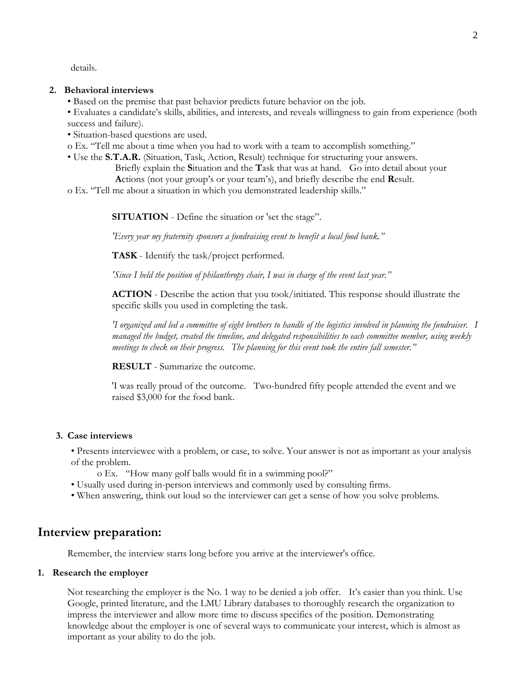details.

#### **2. Behavioral interviews**

- Based on the premise that past behavior predicts future behavior on the job.
- Evaluates a candidate's skills, abilities, and interests, and reveals willingness to gain from experience (both success and failure).
- Situation-based questions are used.
- o Ex. "Tell me about a time when you had to work with a team to accomplish something."
- Use the **S.T.A.R.** (Situation, Task, Action, Result) technique for structuring your answers.
	- Briefly explain the **S**ituation and the **T**ask that was at hand. Go into detail about your
	- **A**ctions (not your group's or your team's), and briefly describe the end **R**esult.
- o Ex. "Tell me about a situation in which you demonstrated leadership skills."

**SITUATION** - Define the situation or 'set the stage".

*'Every year my fraternity sponsors a fundraising event to benefit a local food bank."*

**TASK** - Identify the task/project performed.

*'Since I held the position of philanthropy chair, I was in charge of the event last year."*

**ACTION** - Describe the action that you took/initiated. This response should illustrate the specific skills you used in completing the task.

*'I organized and led a committee of eight brothers to handle of the logistics involved in planning the fundraiser. I managed the budget, created the timeline, and delegated responsibilities to each committee member, using weekly meetings to check on their progress. The planning for this event took the entire fall semester."*

**RESULT** - Summarize the outcome.

'I was really proud of the outcome. Two-hundred fifty people attended the event and we raised \$3,000 for the food bank.

#### **3. Case interviews**

• Presents interviewee with a problem, or case, to solve. Your answer is not as important as your analysis of the problem.

- o Ex. "How many golf balls would fit in a swimming pool?"
- Usually used during in-person interviews and commonly used by consulting firms.
- When answering, think out loud so the interviewer can get a sense of how you solve problems.

# **Interview preparation:**

Remember, the interview starts long before you arrive at the interviewer's office.

#### **1. Research the employer**

Not researching the employer is the No. 1 way to be denied a job offer. It's easier than you think. Use Google, printed literature, and the LMU Library databases to thoroughly research the organization to impress the interviewer and allow more time to discuss specifics of the position. Demonstrating knowledge about the employer is one of several ways to communicate your interest, which is almost as important as your ability to do the job.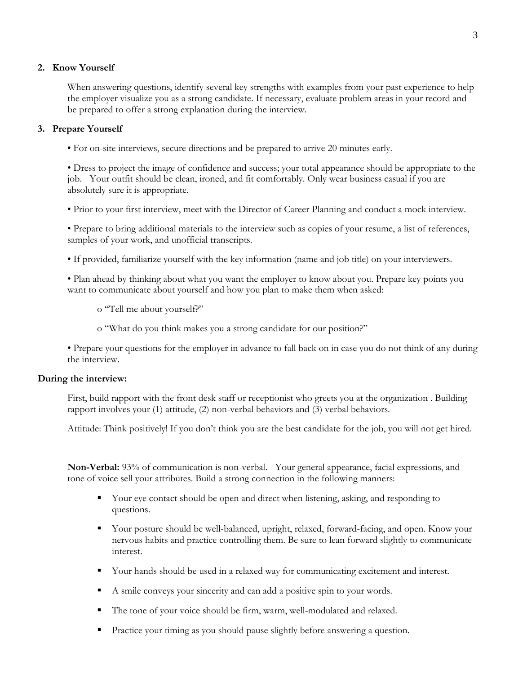### **2. Know Yourself**

When answering questions, identify several key strengths with examples from your past experience to help the employer visualize you as a strong candidate. If necessary, evaluate problem areas in your record and be prepared to offer a strong explanation during the interview.

## **3. Prepare Yourself**

• For on-site interviews, secure directions and be prepared to arrive 20 minutes early.

• Dress to project the image of confidence and success; your total appearance should be appropriate to the job. Your outfit should be clean, ironed, and fit comfortably. Only wear business casual if you are absolutely sure it is appropriate.

• Prior to your first interview, meet with the Director of Career Planning and conduct a mock interview.

• Prepare to bring additional materials to the interview such as copies of your resume, a list of references, samples of your work, and unofficial transcripts.

- If provided, familiarize yourself with the key information (name and job title) on your interviewers.
- Plan ahead by thinking about what you want the employer to know about you. Prepare key points you want to communicate about yourself and how you plan to make them when asked:
	- o "Tell me about yourself?"
	- o "What do you think makes you a strong candidate for our position?"

• Prepare your questions for the employer in advance to fall back on in case you do not think of any during the interview.

### **During the interview:**

First, build rapport with the front desk staff or receptionist who greets you at the organization . Building rapport involves your (1) attitude, (2) non-verbal behaviors and (3) verbal behaviors.

Attitude: Think positively! If you don't think you are the best candidate for the job, you will not get hired.

**Non-Verbal:** 93% of communication is non-verbal. Your general appearance, facial expressions, and tone of voice sell your attributes. Build a strong connection in the following manners:

- Your eye contact should be open and direct when listening, asking, and responding to questions.
- Your posture should be well-balanced, upright, relaxed, forward-facing, and open. Know your nervous habits and practice controlling them. Be sure to lean forward slightly to communicate interest.
- Your hands should be used in a relaxed way for communicating excitement and interest.
- A smile conveys your sincerity and can add a positive spin to your words.
- The tone of your voice should be firm, warm, well-modulated and relaxed.
- Practice your timing as you should pause slightly before answering a question.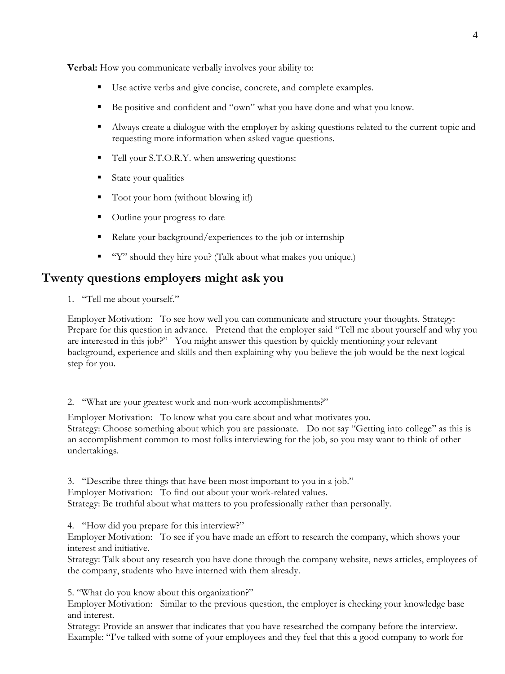**Verbal:** How you communicate verbally involves your ability to:

- Use active verbs and give concise, concrete, and complete examples.
- Be positive and confident and "own" what you have done and what you know.
- Always create a dialogue with the employer by asking questions related to the current topic and requesting more information when asked vague questions.
- Tell your S.T.O.R.Y. when answering questions:
- State your qualities
- Toot your horn (without blowing it!)
- Outline your progress to date
- Relate your background/experiences to the job or internship
- "Y" should they hire you? (Talk about what makes you unique.)

# **Twenty questions employers might ask you**

1. "Tell me about yourself."

Employer Motivation: To see how well you can communicate and structure your thoughts. Strategy: Prepare for this question in advance. Pretend that the employer said "Tell me about yourself and why you are interested in this job?" You might answer this question by quickly mentioning your relevant background, experience and skills and then explaining why you believe the job would be the next logical step for you.

2. "What are your greatest work and non-work accomplishments?"

Employer Motivation: To know what you care about and what motivates you. Strategy: Choose something about which you are passionate. Do not say "Getting into college" as this is an accomplishment common to most folks interviewing for the job, so you may want to think of other undertakings.

3. "Describe three things that have been most important to you in a job." Employer Motivation: To find out about your work-related values. Strategy: Be truthful about what matters to you professionally rather than personally.

4. "How did you prepare for this interview?"

Employer Motivation: To see if you have made an effort to research the company, which shows your interest and initiative.

Strategy: Talk about any research you have done through the company website, news articles, employees of the company, students who have interned with them already.

5. "What do you know about this organization?"

Employer Motivation: Similar to the previous question, the employer is checking your knowledge base and interest.

Strategy: Provide an answer that indicates that you have researched the company before the interview. Example: "I've talked with some of your employees and they feel that this a good company to work for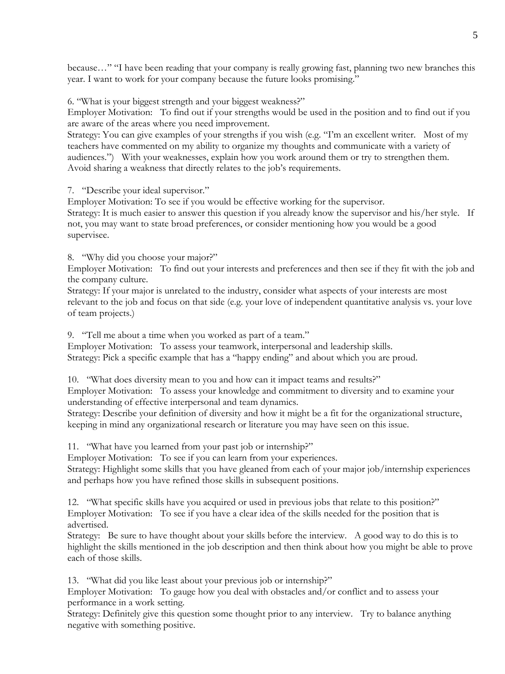because…" "I have been reading that your company is really growing fast, planning two new branches this year. I want to work for your company because the future looks promising."

6. "What is your biggest strength and your biggest weakness?"

Employer Motivation: To find out if your strengths would be used in the position and to find out if you are aware of the areas where you need improvement.

Strategy: You can give examples of your strengths if you wish (e.g. "I'm an excellent writer. Most of my teachers have commented on my ability to organize my thoughts and communicate with a variety of audiences.") With your weaknesses, explain how you work around them or try to strengthen them. Avoid sharing a weakness that directly relates to the job's requirements.

7. "Describe your ideal supervisor."

Employer Motivation: To see if you would be effective working for the supervisor.

Strategy: It is much easier to answer this question if you already know the supervisor and his/her style. If not, you may want to state broad preferences, or consider mentioning how you would be a good supervisee.

8. "Why did you choose your major?"

Employer Motivation: To find out your interests and preferences and then see if they fit with the job and the company culture.

Strategy: If your major is unrelated to the industry, consider what aspects of your interests are most relevant to the job and focus on that side (e.g. your love of independent quantitative analysis vs. your love of team projects.)

9. "Tell me about a time when you worked as part of a team."

Employer Motivation: To assess your teamwork, interpersonal and leadership skills.

Strategy: Pick a specific example that has a "happy ending" and about which you are proud.

10. "What does diversity mean to you and how can it impact teams and results?" Employer Motivation: To assess your knowledge and commitment to diversity and to examine your understanding of effective interpersonal and team dynamics.

Strategy: Describe your definition of diversity and how it might be a fit for the organizational structure, keeping in mind any organizational research or literature you may have seen on this issue.

11. "What have you learned from your past job or internship?"

Employer Motivation: To see if you can learn from your experiences.

Strategy: Highlight some skills that you have gleaned from each of your major job/internship experiences and perhaps how you have refined those skills in subsequent positions.

12. "What specific skills have you acquired or used in previous jobs that relate to this position?" Employer Motivation: To see if you have a clear idea of the skills needed for the position that is advertised.

Strategy: Be sure to have thought about your skills before the interview. A good way to do this is to highlight the skills mentioned in the job description and then think about how you might be able to prove each of those skills.

13. "What did you like least about your previous job or internship?"

Employer Motivation: To gauge how you deal with obstacles and/or conflict and to assess your performance in a work setting.

Strategy: Definitely give this question some thought prior to any interview. Try to balance anything negative with something positive.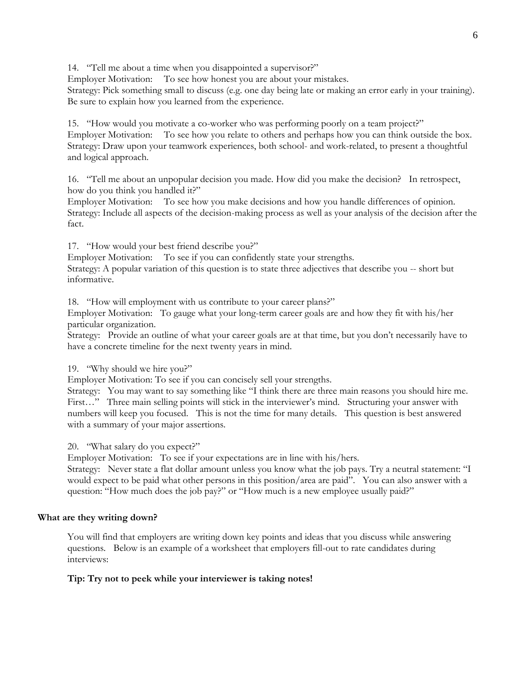14. "Tell me about a time when you disappointed a supervisor?"

Employer Motivation: To see how honest you are about your mistakes.

Strategy: Pick something small to discuss (e.g. one day being late or making an error early in your training). Be sure to explain how you learned from the experience.

15. "How would you motivate a co-worker who was performing poorly on a team project?"

Employer Motivation: To see how you relate to others and perhaps how you can think outside the box. Strategy: Draw upon your teamwork experiences, both school- and work-related, to present a thoughtful and logical approach.

16. "Tell me about an unpopular decision you made. How did you make the decision? In retrospect, how do you think you handled it?"

Employer Motivation: To see how you make decisions and how you handle differences of opinion. Strategy: Include all aspects of the decision-making process as well as your analysis of the decision after the fact.

17. "How would your best friend describe you?"

Employer Motivation: To see if you can confidently state your strengths.

Strategy: A popular variation of this question is to state three adjectives that describe you -- short but informative.

18. "How will employment with us contribute to your career plans?"

Employer Motivation: To gauge what your long-term career goals are and how they fit with his/her particular organization.

Strategy: Provide an outline of what your career goals are at that time, but you don't necessarily have to have a concrete timeline for the next twenty years in mind.

19. "Why should we hire you?"

Employer Motivation: To see if you can concisely sell your strengths.

Strategy: You may want to say something like "I think there are three main reasons you should hire me. First…" Three main selling points will stick in the interviewer's mind. Structuring your answer with numbers will keep you focused. This is not the time for many details. This question is best answered with a summary of your major assertions.

20. "What salary do you expect?"

Employer Motivation: To see if your expectations are in line with his/hers.

Strategy: Never state a flat dollar amount unless you know what the job pays. Try a neutral statement: "I would expect to be paid what other persons in this position/area are paid". You can also answer with a question: "How much does the job pay?" or "How much is a new employee usually paid?"

# **What are they writing down?**

You will find that employers are writing down key points and ideas that you discuss while answering questions. Below is an example of a worksheet that employers fill-out to rate candidates during interviews:

# **Tip: Try not to peek while your interviewer is taking notes!**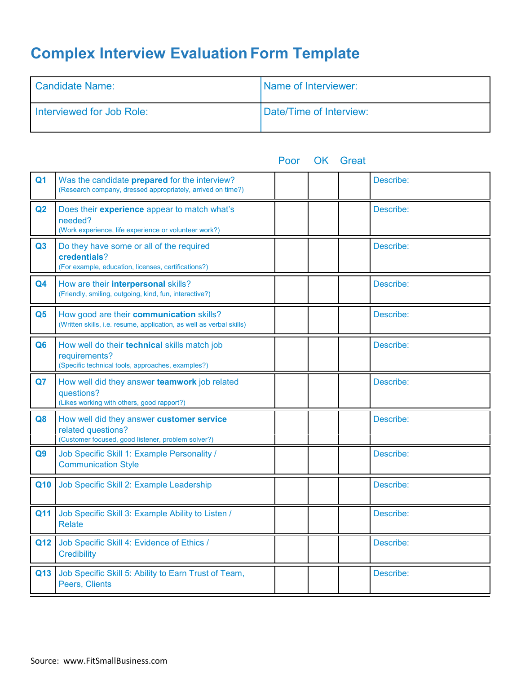# **Complex Interview Evaluation Form Template**

| Candidate Name:           | <b>Name of Interviewer:</b> |
|---------------------------|-----------------------------|
| Interviewed for Job Role: | Date/Time of Interview:     |

|                |                                                                                                                       | Poor | <b>UK Great</b> |           |
|----------------|-----------------------------------------------------------------------------------------------------------------------|------|-----------------|-----------|
| Q <sub>1</sub> | Was the candidate prepared for the interview?<br>(Research company, dressed appropriately, arrived on time?)          |      |                 | Describe: |
| Q2             | Does their experience appear to match what's<br>needed?<br>(Work experience, life experience or volunteer work?)      |      |                 | Describe: |
| Q3             | Do they have some or all of the required<br>credentials?<br>(For example, education, licenses, certifications?)       |      |                 | Describe: |
| Q4             | How are their interpersonal skills?<br>(Friendly, smiling, outgoing, kind, fun, interactive?)                         |      |                 | Describe: |
| Q <sub>5</sub> | How good are their communication skills?<br>(Written skills, i.e. resume, application, as well as verbal skills)      |      |                 | Describe: |
| Q <sub>6</sub> | How well do their technical skills match job<br>requirements?<br>(Specific technical tools, approaches, examples?)    |      |                 | Describe: |
| Q7             | How well did they answer teamwork job related<br>questions?<br>(Likes working with others, good rapport?)             |      |                 | Describe: |
| Q <sub>8</sub> | How well did they answer customer service<br>related questions?<br>(Customer focused, good listener, problem solver?) |      |                 | Describe: |
| Q <sub>9</sub> | Job Specific Skill 1: Example Personality /<br><b>Communication Style</b>                                             |      |                 | Describe: |
| Q10            | Job Specific Skill 2: Example Leadership                                                                              |      |                 | Describe: |
| Q11            | Job Specific Skill 3: Example Ability to Listen /<br><b>Relate</b>                                                    |      |                 | Describe: |
| Q12            | Job Specific Skill 4: Evidence of Ethics /<br><b>Credibility</b>                                                      |      |                 | Describe: |
| Q13            | Job Specific Skill 5: Ability to Earn Trust of Team,<br>Peers, Clients                                                |      |                 | Describe: |

Poor OK Great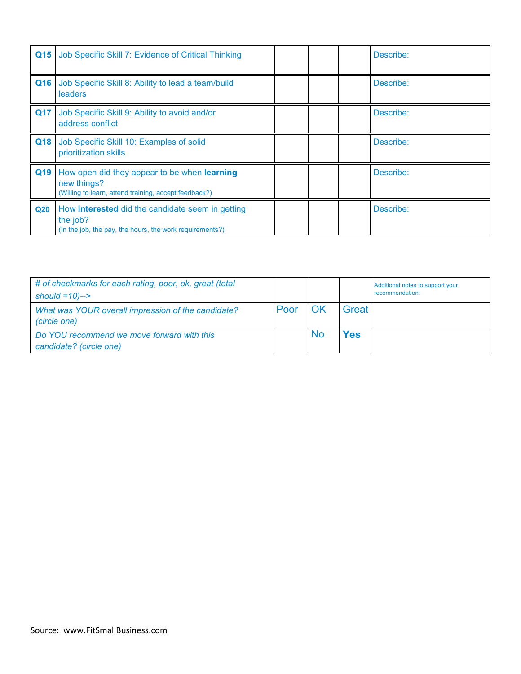| Q15             | Job Specific Skill 7: Evidence of Critical Thinking                                                                             |  | Describe: |
|-----------------|---------------------------------------------------------------------------------------------------------------------------------|--|-----------|
| Q16             | Job Specific Skill 8: Ability to lead a team/build<br>leaders                                                                   |  | Describe: |
| <b>Q17</b>      | Job Specific Skill 9: Ability to avoid and/or<br>address conflict                                                               |  | Describe: |
| Q18             | Job Specific Skill 10: Examples of solid<br>prioritization skills                                                               |  | Describe: |
| Q19             | How open did they appear to be when learning<br>new things?<br>(Willing to learn, attend training, accept feedback?)            |  | Describe: |
| Q <sub>20</sub> | How <b>interested</b> did the candidate seem in getting<br>the job?<br>(In the job, the pay, the hours, the work requirements?) |  | Describe: |

| # of checkmarks for each rating, poor, ok, great (total<br>should $=10$ )--> |      |    |              | Additional notes to support your<br>recommendation: |
|------------------------------------------------------------------------------|------|----|--------------|-----------------------------------------------------|
| What was YOUR overall impression of the candidate?<br>(circle one)           | Poor | OK | <b>Great</b> |                                                     |
| Do YOU recommend we move forward with this<br>candidate? (circle one)        |      | No | Yes          |                                                     |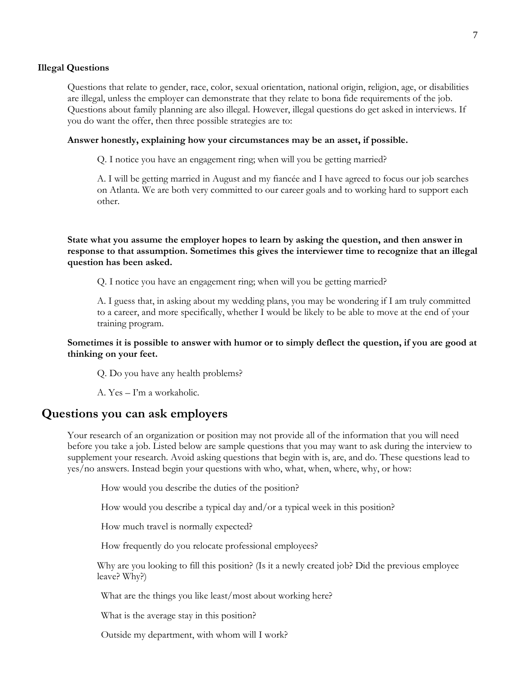#### **Illegal Questions**

Questions that relate to gender, race, color, sexual orientation, national origin, religion, age, or disabilities are illegal, unless the employer can demonstrate that they relate to bona fide requirements of the job. Questions about family planning are also illegal. However, illegal questions do get asked in interviews. If you do want the offer, then three possible strategies are to:

#### **Answer honestly, explaining how your circumstances may be an asset, if possible.**

Q. I notice you have an engagement ring; when will you be getting married?

A. I will be getting married in August and my fiancée and I have agreed to focus our job searches on Atlanta. We are both very committed to our career goals and to working hard to support each other.

**State what you assume the employer hopes to learn by asking the question, and then answer in response to that assumption. Sometimes this gives the interviewer time to recognize that an illegal question has been asked.** 

Q. I notice you have an engagement ring; when will you be getting married?

A. I guess that, in asking about my wedding plans, you may be wondering if I am truly committed to a career, and more specifically, whether I would be likely to be able to move at the end of your training program.

#### **Sometimes it is possible to answer with humor or to simply deflect the question, if you are good at thinking on your feet.**

Q. Do you have any health problems?

A. Yes – I'm a workaholic.

# **Questions you can ask employers**

Your research of an organization or position may not provide all of the information that you will need before you take a job. Listed below are sample questions that you may want to ask during the interview to supplement your research. Avoid asking questions that begin with is, are, and do. These questions lead to yes/no answers. Instead begin your questions with who, what, when, where, why, or how:

How would you describe the duties of the position?

How would you describe a typical day and/or a typical week in this position?

How much travel is normally expected?

How frequently do you relocate professional employees?

Why are you looking to fill this position? (Is it a newly created job? Did the previous employee leave? Why?)

What are the things you like least/most about working here?

What is the average stay in this position?

Outside my department, with whom will I work?